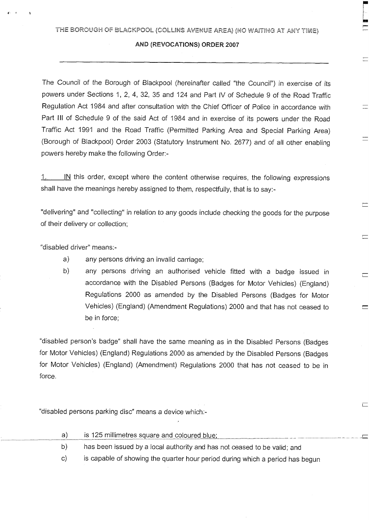### **AND (REVOCATIONS)** ORDER **2007**

The Council of the Borough of Blackpool (hereinafter called "the Council") in exercise of its powers under Sections 1, 2, 4, 32, 35 and 124 and Part IV of Schedule 9 of the Road Traffic Regulation Act 1984 and after consultation with the Chief Officer of Police in accordance with Part III of Schedule 9 of the said Act of 1984 and in exercise of its powers under the Road Traffic Act 1991 and the Road Traffic (Permitted Parking Area and Special Parking Area) (Borough of Blackpool) Order 2003 (Statutory Instrument No. 2677) and of all other enabling powers hereby make the following Order:-

 $1.$  IN this order, except where the content otherwise requires, the following expressions shall have the meanings hereby assigned to them, respectfully, that is to say:-

"delivering" and "collecting" in relation to any goods include checking the goods for the purpose of their delivery or collection;

 $\equiv$ 

"disabled driver" means:-

- a) any persons driving an invalid carriage;
- b) any persons driving an authorised vehicle fitted with a badge issued in accordance with the Disabled Persons (Badges for Motor Vehicles) (England) Regulations 2000 as amended by the Disabled Persons (Badges for Motor Vehicles) (England) (Amendment Regulations) 2000 and that has not ceased to be in force;

"disabled person's badge" shall have the same meaning as in the Disabled Persons (Badges for Motor Vehicles) (England) Regulations 2000 as amended by the Disabled Persons (Badges for Motor Vehicles) (England) (Amendment) Regulations 2000 that has not ceased to be in force.

"disabled persons parking disc" means a device which:-

| a) | is 125 millimetres square and coloured blue;                             |
|----|--------------------------------------------------------------------------|
| b) | has been issued by a local authority and has not ceased to be valid; and |
|    | $\blacksquare$                                                           |

c) is capable of showing the quarter hour period during which a period has begun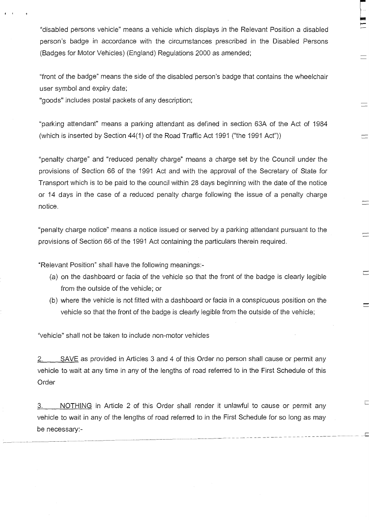"disabled persons vehicle" means a vehicle which displays in the Relevant Position a disabled person's badge in accordance with the circumstances prescribed in the Disabled Persons (Badges for Motor Vehicles) (England) Regulations 2000 as amended;

 $\frac{1}{2}$  ...

 $\equiv$ 

 $\equiv$ 

 $\equiv$ 

Г

"front of the badge" means the side of the disabled person's badge that contains the wheelchair user symbol and expiry date;

"goods" includes postal packets of any description;

"parking attendant" means a parking attendant as defined in section 63A of the Act of 1984 (which is inserted by Section 44(1) of the Road Traffic Act 1991 ("the 1991 Act"))

"penalty charge" and "reduced penalty charge" means a charge set by the Council under the provisions of Section 66 of the 1991 Act and with the approval of the Secretary of State for Transport which is to be paid to the council within 28 days beginning with the date of the notice or 14 days in the case of a reduced penalty charge following the issue of a penalty charge notice.

"penalty charge notice" means a notice issued or served by a parking attendant pursuant to the provisions of Section 66 of the 1991 Act containing the particulars therein required.

"Relevant Position" shall have the following meanings:-

- (a) on the dashboard or facia of the vehicle so that the front of the badge is clearly legible from the outside of the vehicle; or
- (b) where the vehicle is not fitted with a dashboard or facia in a conspicuous position on the vehicle so that the front of the badge is clearly legible from the outside of the vehicle;

"vehicle" shall not be taken to include non-motor vehicles

SAVE as provided in Articles 3 and 4 of this Order no person shall cause or permit any vehicle to wait at any time in any of the lengths of road referred to in the First Schedule of this Order

3. NOTHING in Article 2 of this Order shall render it unlawful to cause or permit any vehicle to wait in any of the lengths of road referred to in the First Schedule for so long as may be necessary:-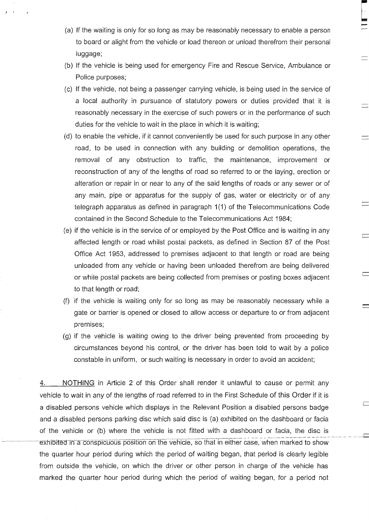(a) If the waiting is only for so long as may be reasonably necessary to enable a person to board or alight from the vehicle or load thereon or unload therefrom their personal luggage;

ļ.

 $\Box$ 

 $\overline{\phantom{0}}$ 

- (b) If the vehicle is being used for emergency Fire and Rescue Service, Ambulance or Police purposes;
- (c) If the vehicle, not being a passenger carrying vehicle, is being used in the service of a local authority in pursuance of statutory powers or duties provided that it is reasonably necessary in the exercise of such powers or in the performance of such duties for the vehicle to wait in the place in which it is waiting;
- (d) to enable the vehicle, if it cannot conveniently be used for such purpose in any other road, to be used in connection with any building or demolition operations, the removal of any obstruction to traffic, the maintenance, improvement or reconstruction of any of the lengths of road so referred to or the laying, erection or alteration or repair in or near to any of the said lengths of roads or any sewer or of any main, pipe or apparatus for the supply of gas, water or electricity or of any telegraph apparatus as defined in paragraph 1(1) of the Telecommunications Code contained in the Second Schedule to the Telecommunications Act 1984;
- (e) if the vehicle is in the service of or employed by the Post Office and is waiting in any affected length or road whilst postal packets, as defined in Section 87 of the Post Office Act 1953, addressed to premises adjacent to that length or road are being unloaded from any vehicle or having been unloaded therefrom are being delivered or while postal packets are being collected from premises or posting boxes adjacent to that length or road;
- (f) if the vehicle is waiting only for so long as may be reasonably necessary while a gate or barrier is opened or closed to allow access or departure to or from adjacent premises;
- (g) if the vehicle is waiting owing to the driver being prevented from proceeding by circumstances beyond his control, or the driver has been told to wait by a police constable in uniform, or such waiting is necessary in order to avoid an accident;

4. NOTHING in Article 2 of this Order shall render it unlawful to cause or permit any vehicle to wait in any of the lengths of road referred to in the First Schedule of this Order if it is a disabled persons vehicle which displays in the Relevant Position a disabled persons badge and a disabled persons parking disc which said disc is (a) exhibited on the dashboard or facia of the vehicle or (b) where the vehicle is not fitted with a dashboard or facia, the disc is exhibited in a conspicuous position on the vehicle, so that in either case, when marked to show the quarter hour period during which the period of waiting began, that period is clearly legible from outside the vehicle, on which the driver or other person in charge of the vehicle has marked the quarter hour period during which the period of waiting began, for a period not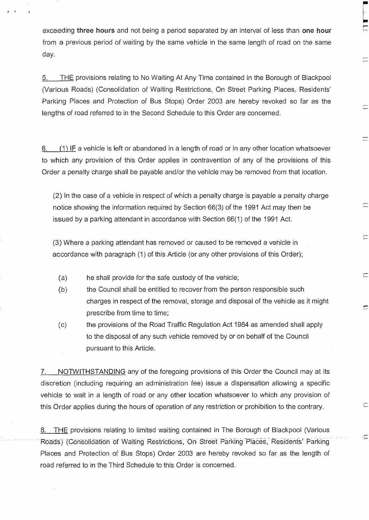exceeding three hours and not being a period separated by an interval of less than one hour from a previous period of waiting by the same vehicle in the same length of road on the same day.

i T

 $\equiv$ 

 $\equiv$ 

 $\equiv$ 

 $\equiv$ 

 $\begin{array}{c} \square \end{array}$ 

Г

 $\Box$ 

.c

5. THE provisions relating to No Waiting At Any Time contained in the Borough of Blackpool (Various Roads) (Consolidation of Waiting Restrictions, On Street Parking Places, Residents' Parking Places and Protection of Bus Stops) Order 2003 are hereby revoked so far as the lengths of road referred to in the Second Schedule to this Order are concerned.

6. (1) IF a vehicle is left or abandoned in a length of road or in any other location whatsoever to which any provision of this Order applies in contravention of any of the provisions of this Order a penalty charge shall be payable and/or the vehicle may be removed from that location.

(2) In the case of a vehicle in respect of which a penalty charge is payable a penalty charge notice showing the information required by Section 66(3) of the 1991 Act may then be issued by a parking attendant in accordance with Section 66(1) of the 1991 Act.

(3) Where a parking attendant has removed or caused to be removed a vehicle in accordance with paragraph (1) of this Article (or any other provisions of this Order);

- (a) he shall provide for the safe custody of the vehicle;
- (b) the Council shall be entitled to recover from the person responsible such charges in respect of the removal, storage and disposal of the vehicle as it might prescribe from time to time;
- (c) the provisions of the Road Traffic Regulation Act 1984 as amended shall apply to the disposal of any such vehicle removed by or on behalf of the Council pursuant to this Article.

7. NOTWITHSTANDING any of the foregoing provisions of this Order the Council may at its discretion (including requiring an administration fee) issue a dispensation allowing a specific vehicle to wait in a length of road or any other location whatsoever to which any provision of this Order applies during the hours of operation of any restriction or prohibition to the contrary.

8. THE provisions relating to limited waiting contained in The Borough of Blackpool (Various Roads) (Consolidation of Waiting Restrictions, On Street Parking Places, Residents' Parking Places and Protection of Bus Stops) Order 2003 are hereby revoked so far as the length of road referred to in the Third Schedule to this Order is concerned.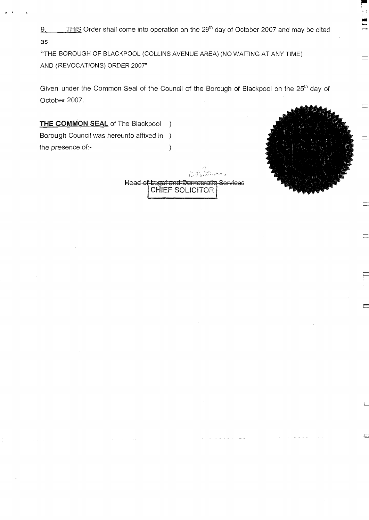9. THIS Order shall come into operation on the 29<sup>th</sup> day of October 2007 and may be cited as

"THE BOROUGH OF BLACKPOOL (COLLINS AVENUE AREA) (NO WAITING AT ANY TIME) AND (REVOCATIONS) ORDER 2007"

Given under the Common Seal of the Council of the Borough of Blackpool on the 25<sup>th</sup> day of October 2007.

**THE COMMON SEAL** of The Blackpool ) Borough Council was hereunto affixed in ) the presence of:- (a)

j.

د سانگستان<br>مراس استان می ایران Head of Legal and Democratic Services<br>| CHIEF SOLICITOR